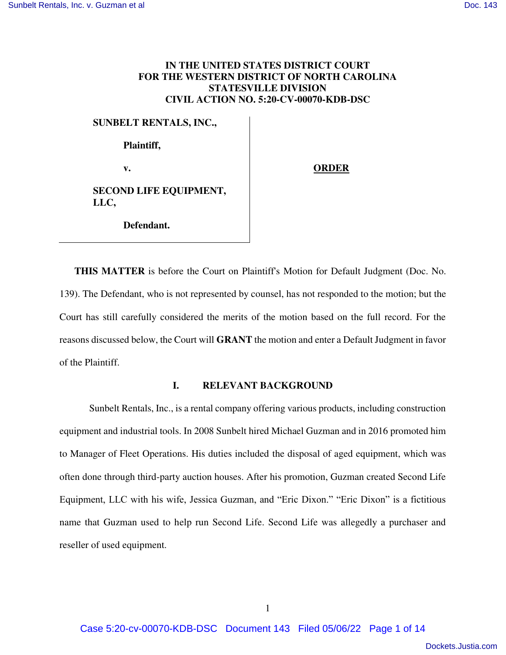# **IN THE UNITED STATES DISTRICT COURT FOR THE WESTERN DISTRICT OF NORTH CAROLINA STATESVILLE DIVISION CIVIL ACTION NO. 5:20-CV-00070-KDB-DSC**

# **SUNBELT RENTALS, INC.,**

**Plaintiff,** 

v. **ORDER** 

**SECOND LIFE EQUIPMENT, LLC,** 

**Defendant.** 

**THIS MATTER** is before the Court on Plaintiff's Motion for Default Judgment (Doc. No. 139). The Defendant, who is not represented by counsel, has not responded to the motion; but the Court has still carefully considered the merits of the motion based on the full record. For the reasons discussed below, the Court will **GRANT** the motion and enter a Default Judgment in favor of the Plaintiff.

# **I. RELEVANT BACKGROUND**

Sunbelt Rentals, Inc., is a rental company offering various products, including construction equipment and industrial tools. In 2008 Sunbelt hired Michael Guzman and in 2016 promoted him to Manager of Fleet Operations. His duties included the disposal of aged equipment, which was often done through third-party auction houses. After his promotion, Guzman created Second Life Equipment, LLC with his wife, Jessica Guzman, and "Eric Dixon." "Eric Dixon" is a fictitious name that Guzman used to help run Second Life. Second Life was allegedly a purchaser and reseller of used equipment.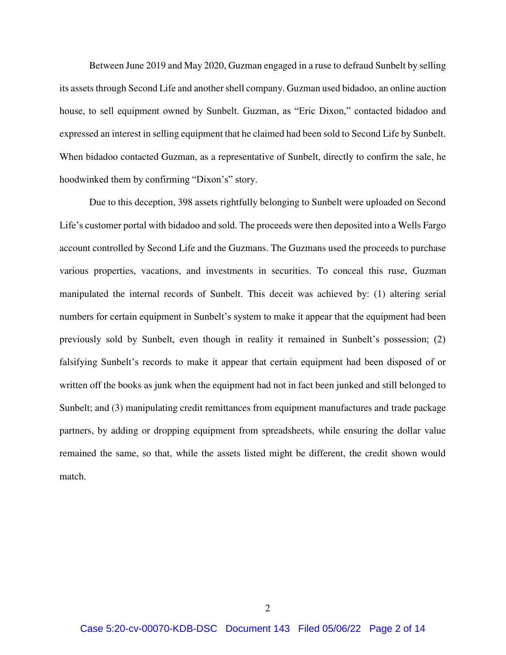Between June 2019 and May 2020, Guzman engaged in a ruse to defraud Sunbelt by selling its assets through Second Life and another shell company. Guzman used bidadoo, an online auction house, to sell equipment owned by Sunbelt. Guzman, as "Eric Dixon," contacted bidadoo and expressed an interest in selling equipment that he claimed had been sold to Second Life by Sunbelt. When bidadoo contacted Guzman, as a representative of Sunbelt, directly to confirm the sale, he hoodwinked them by confirming "Dixon's" story.

Due to this deception, 398 assets rightfully belonging to Sunbelt were uploaded on Second Life's customer portal with bidadoo and sold. The proceeds were then deposited into a Wells Fargo account controlled by Second Life and the Guzmans. The Guzmans used the proceeds to purchase various properties, vacations, and investments in securities. To conceal this ruse, Guzman manipulated the internal records of Sunbelt. This deceit was achieved by: (1) altering serial numbers for certain equipment in Sunbelt's system to make it appear that the equipment had been previously sold by Sunbelt, even though in reality it remained in Sunbelt's possession; (2) falsifying Sunbelt's records to make it appear that certain equipment had been disposed of or written off the books as junk when the equipment had not in fact been junked and still belonged to Sunbelt; and (3) manipulating credit remittances from equipment manufactures and trade package partners, by adding or dropping equipment from spreadsheets, while ensuring the dollar value remained the same, so that, while the assets listed might be different, the credit shown would match.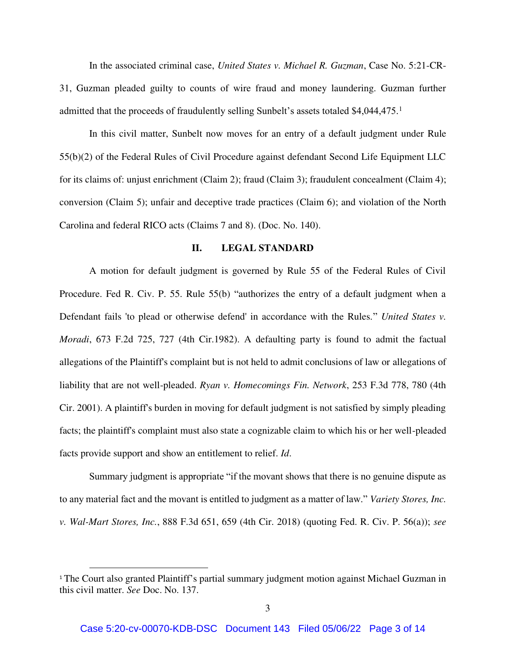In the associated criminal case, *United States v. Michael R. Guzman*, Case No. 5:21-CR-31, Guzman pleaded guilty to counts of wire fraud and money laundering. Guzman further admitted that the proceeds of fraudulently selling Sunbelt's assets totaled \$4,044,475.<sup>1</sup>

In this civil matter, Sunbelt now moves for an entry of a default judgment under Rule 55(b)(2) of the Federal Rules of Civil Procedure against defendant Second Life Equipment LLC for its claims of: unjust enrichment (Claim 2); fraud (Claim 3); fraudulent concealment (Claim 4); conversion (Claim 5); unfair and deceptive trade practices (Claim 6); and violation of the North Carolina and federal RICO acts (Claims 7 and 8). (Doc. No. 140).

### **II. LEGAL STANDARD**

A motion for default judgment is governed by Rule 55 of the Federal Rules of Civil Procedure. Fed R. Civ. P. 55. Rule 55(b) "authorizes the entry of a default judgment when a Defendant fails 'to plead or otherwise defend' in accordance with the Rules." *United States v. Moradi*, 673 F.2d 725, 727 (4th Cir.1982). A defaulting party is found to admit the factual allegations of the Plaintiff's complaint but is not held to admit conclusions of law or allegations of liability that are not well-pleaded. *Ryan v. Homecomings Fin. Network*, 253 F.3d 778, 780 (4th Cir. 2001). A plaintiff's burden in moving for default judgment is not satisfied by simply pleading facts; the plaintiff's complaint must also state a cognizable claim to which his or her well-pleaded facts provide support and show an entitlement to relief. *Id*.

Summary judgment is appropriate "if the movant shows that there is no genuine dispute as to any material fact and the movant is entitled to judgment as a matter of law." *Variety Stores, Inc. v. Wal-Mart Stores, Inc.*, 888 F.3d 651, 659 (4th Cir. 2018) (quoting Fed. R. Civ. P. 56(a)); *see* 

 $\overline{a}$ 

<sup>&</sup>lt;sup>1</sup> The Court also granted Plaintiff's partial summary judgment motion against Michael Guzman in this civil matter. *See* Doc. No. 137.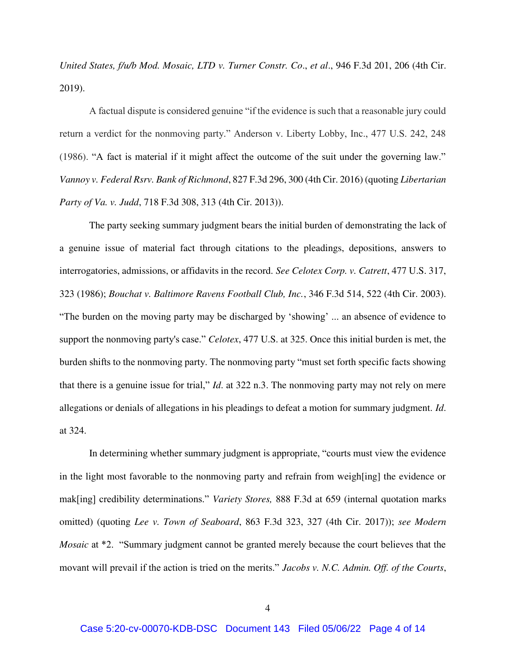*United States, f/u/b Mod. Mosaic, LTD v. Turner Constr. Co*., *et al*., 946 F.3d 201, 206 (4th Cir. 2019).

A factual dispute is considered genuine "if the evidence is such that a reasonable jury could return a verdict for the nonmoving party." Anderson v. Liberty Lobby, Inc., 477 U.S. 242, 248 (1986). "A fact is material if it might affect the outcome of the suit under the governing law." *Vannoy v. Federal Rsrv. Bank of Richmond*, 827 F.3d 296, 300 (4th Cir. 2016) (quoting *Libertarian Party of Va. v. Judd*, 718 F.3d 308, 313 (4th Cir. 2013)).

The party seeking summary judgment bears the initial burden of demonstrating the lack of a genuine issue of material fact through citations to the pleadings, depositions, answers to interrogatories, admissions, or affidavits in the record. *See Celotex Corp. v. Catrett*, 477 U.S. 317, 323 (1986); *Bouchat v. Baltimore Ravens Football Club, Inc.*, 346 F.3d 514, 522 (4th Cir. 2003). "The burden on the moving party may be discharged by 'showing' ... an absence of evidence to support the nonmoving party's case." *Celotex*, 477 U.S. at 325. Once this initial burden is met, the burden shifts to the nonmoving party. The nonmoving party "must set forth specific facts showing that there is a genuine issue for trial," *Id*. at 322 n.3. The nonmoving party may not rely on mere allegations or denials of allegations in his pleadings to defeat a motion for summary judgment. *Id*. at 324.

In determining whether summary judgment is appropriate, "courts must view the evidence in the light most favorable to the nonmoving party and refrain from weigh[ing] the evidence or mak[ing] credibility determinations." *Variety Stores,* 888 F.3d at 659 (internal quotation marks omitted) (quoting *Lee v. Town of Seaboard*, 863 F.3d 323, 327 (4th Cir. 2017)); *see Modern Mosaic* at \*2. "Summary judgment cannot be granted merely because the court believes that the movant will prevail if the action is tried on the merits." *Jacobs v. N.C. Admin. Off. of the Courts*,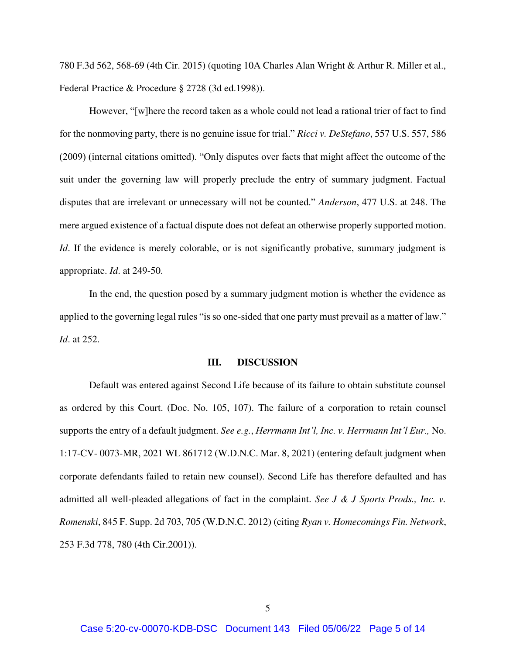780 F.3d 562, 568-69 (4th Cir. 2015) (quoting 10A Charles Alan Wright & Arthur R. Miller et al., Federal Practice & Procedure § 2728 (3d ed.1998)).

However, "[w]here the record taken as a whole could not lead a rational trier of fact to find for the nonmoving party, there is no genuine issue for trial." *Ricci v. DeStefano*, 557 U.S. 557, 586 (2009) (internal citations omitted). "Only disputes over facts that might affect the outcome of the suit under the governing law will properly preclude the entry of summary judgment. Factual disputes that are irrelevant or unnecessary will not be counted." *Anderson*, 477 U.S. at 248. The mere argued existence of a factual dispute does not defeat an otherwise properly supported motion. *Id*. If the evidence is merely colorable, or is not significantly probative, summary judgment is appropriate. *Id*. at 249-50.

In the end, the question posed by a summary judgment motion is whether the evidence as applied to the governing legal rules "is so one-sided that one party must prevail as a matter of law." *Id*. at 252.

#### **III. DISCUSSION**

Default was entered against Second Life because of its failure to obtain substitute counsel as ordered by this Court. (Doc. No. 105, 107). The failure of a corporation to retain counsel supports the entry of a default judgment. *See e.g.*, *Herrmann Int'l, Inc. v. Herrmann Int'l Eur.,* No. 1:17-CV- 0073-MR, 2021 WL 861712 (W.D.N.C. Mar. 8, 2021) (entering default judgment when corporate defendants failed to retain new counsel). Second Life has therefore defaulted and has admitted all well-pleaded allegations of fact in the complaint. *See J & J Sports Prods., Inc. v. Romenski*, 845 F. Supp. 2d 703, 705 (W.D.N.C. 2012) (citing *Ryan v. Homecomings Fin. Network*, 253 F.3d 778, 780 (4th Cir.2001)).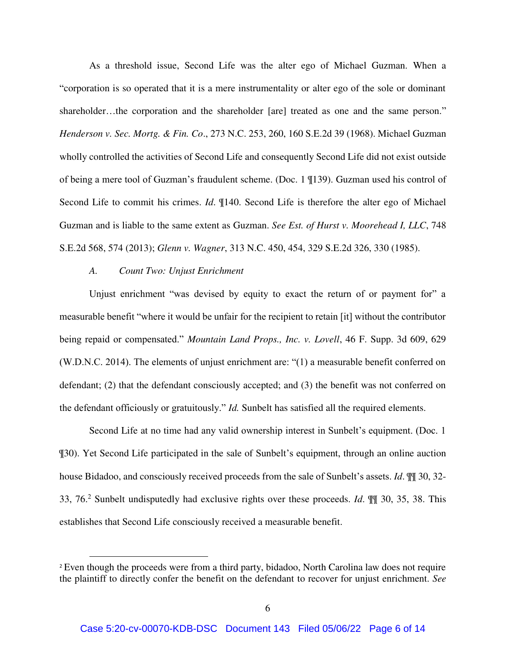As a threshold issue, Second Life was the alter ego of Michael Guzman. When a "corporation is so operated that it is a mere instrumentality or alter ego of the sole or dominant shareholder…the corporation and the shareholder [are] treated as one and the same person." *Henderson v. Sec. Mortg. & Fin. Co*., 273 N.C. 253, 260, 160 S.E.2d 39 (1968). Michael Guzman wholly controlled the activities of Second Life and consequently Second Life did not exist outside of being a mere tool of Guzman's fraudulent scheme. (Doc. 1 ¶139). Guzman used his control of Second Life to commit his crimes. *Id*. ¶140. Second Life is therefore the alter ego of Michael Guzman and is liable to the same extent as Guzman. *See Est. of Hurst v. Moorehead I, LLC*, 748 S.E.2d 568, 574 (2013); *Glenn v. Wagner*, 313 N.C. 450, 454, 329 S.E.2d 326, 330 (1985).

#### *A. Count Two: Unjust Enrichment*

 $\overline{a}$ 

Unjust enrichment "was devised by equity to exact the return of or payment for" a measurable benefit "where it would be unfair for the recipient to retain [it] without the contributor being repaid or compensated." *Mountain Land Props., Inc. v. Lovell*, 46 F. Supp. 3d 609, 629 (W.D.N.C. 2014). The elements of unjust enrichment are: "(1) a measurable benefit conferred on defendant; (2) that the defendant consciously accepted; and (3) the benefit was not conferred on the defendant officiously or gratuitously." *Id.* Sunbelt has satisfied all the required elements.

Second Life at no time had any valid ownership interest in Sunbelt's equipment. (Doc. 1 ¶30). Yet Second Life participated in the sale of Sunbelt's equipment, through an online auction house Bidadoo, and consciously received proceeds from the sale of Sunbelt's assets. *Id*. ¶¶ 30, 32- 33, 76.<sup>2</sup> Sunbelt undisputedly had exclusive rights over these proceeds. *Id*. ¶¶ 30, 35, 38. This establishes that Second Life consciously received a measurable benefit.

<sup>2</sup> Even though the proceeds were from a third party, bidadoo, North Carolina law does not require the plaintiff to directly confer the benefit on the defendant to recover for unjust enrichment. *See*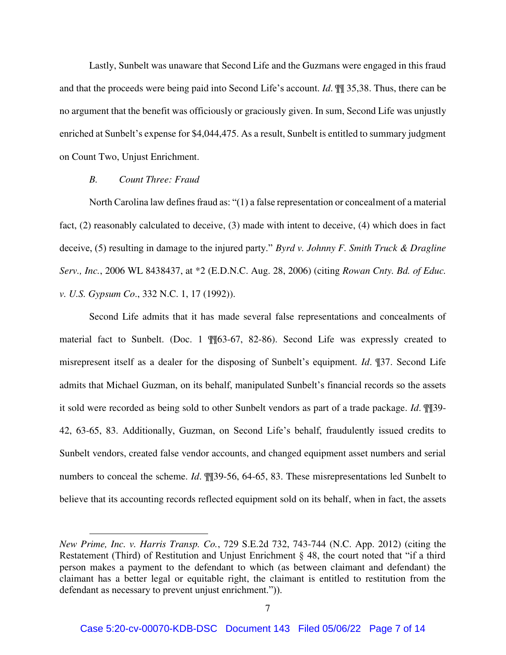Lastly, Sunbelt was unaware that Second Life and the Guzmans were engaged in this fraud and that the proceeds were being paid into Second Life's account. *Id*. ¶¶ 35,38. Thus, there can be no argument that the benefit was officiously or graciously given. In sum, Second Life was unjustly enriched at Sunbelt's expense for \$4,044,475. As a result, Sunbelt is entitled to summary judgment on Count Two, Unjust Enrichment.

# *B. Count Three: Fraud*

 $\overline{a}$ 

North Carolina law defines fraud as: "(1) a false representation or concealment of a material fact, (2) reasonably calculated to deceive, (3) made with intent to deceive, (4) which does in fact deceive, (5) resulting in damage to the injured party." *Byrd v. Johnny F. Smith Truck & Dragline Serv., Inc.*, 2006 WL 8438437, at \*2 (E.D.N.C. Aug. 28, 2006) (citing *Rowan Cnty. Bd. of Educ. v. U.S. Gypsum Co*., 332 N.C. 1, 17 (1992)).

Second Life admits that it has made several false representations and concealments of material fact to Sunbelt. (Doc. 1 ¶¶63-67, 82-86). Second Life was expressly created to misrepresent itself as a dealer for the disposing of Sunbelt's equipment. *Id*. ¶37. Second Life admits that Michael Guzman, on its behalf, manipulated Sunbelt's financial records so the assets it sold were recorded as being sold to other Sunbelt vendors as part of a trade package. *Id*. ¶¶39- 42, 63-65, 83. Additionally, Guzman, on Second Life's behalf, fraudulently issued credits to Sunbelt vendors, created false vendor accounts, and changed equipment asset numbers and serial numbers to conceal the scheme. *Id*. ¶¶39-56, 64-65, 83. These misrepresentations led Sunbelt to believe that its accounting records reflected equipment sold on its behalf, when in fact, the assets

*New Prime, Inc. v. Harris Transp. Co.*, 729 S.E.2d 732, 743-744 (N.C. App. 2012) (citing the Restatement (Third) of Restitution and Unjust Enrichment § 48, the court noted that "if a third person makes a payment to the defendant to which (as between claimant and defendant) the claimant has a better legal or equitable right, the claimant is entitled to restitution from the defendant as necessary to prevent unjust enrichment.")).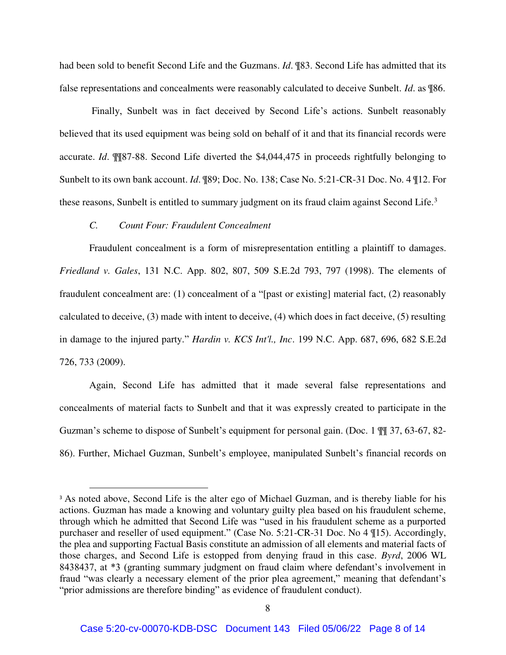had been sold to benefit Second Life and the Guzmans. *Id*. ¶83. Second Life has admitted that its false representations and concealments were reasonably calculated to deceive Sunbelt. *Id*. as ¶86.

 Finally, Sunbelt was in fact deceived by Second Life's actions. Sunbelt reasonably believed that its used equipment was being sold on behalf of it and that its financial records were accurate. *Id*. ¶¶87-88. Second Life diverted the \$4,044,475 in proceeds rightfully belonging to Sunbelt to its own bank account. *Id*. ¶89; Doc. No. 138; Case No. 5:21-CR-31 Doc. No. 4 ¶12. For these reasons, Sunbelt is entitled to summary judgment on its fraud claim against Second Life.<sup>3</sup>

# *C. Count Four: Fraudulent Concealment*

 $\overline{a}$ 

Fraudulent concealment is a form of misrepresentation entitling a plaintiff to damages. *Friedland v. Gales*, 131 N.C. App. 802, 807, 509 S.E.2d 793, 797 (1998). The elements of fraudulent concealment are: (1) concealment of a "[past or existing] material fact, (2) reasonably calculated to deceive, (3) made with intent to deceive, (4) which does in fact deceive, (5) resulting in damage to the injured party." *Hardin v. KCS Int'l., Inc*. 199 N.C. App. 687, 696, 682 S.E.2d 726, 733 (2009).

Again, Second Life has admitted that it made several false representations and concealments of material facts to Sunbelt and that it was expressly created to participate in the Guzman's scheme to dispose of Sunbelt's equipment for personal gain. (Doc. 1 ¶¶ 37, 63-67, 82- 86). Further, Michael Guzman, Sunbelt's employee, manipulated Sunbelt's financial records on

<sup>&</sup>lt;sup>3</sup> As noted above, Second Life is the alter ego of Michael Guzman, and is thereby liable for his actions. Guzman has made a knowing and voluntary guilty plea based on his fraudulent scheme, through which he admitted that Second Life was "used in his fraudulent scheme as a purported purchaser and reseller of used equipment." (Case No. 5:21-CR-31 Doc. No 4 ¶15). Accordingly, the plea and supporting Factual Basis constitute an admission of all elements and material facts of those charges, and Second Life is estopped from denying fraud in this case. *Byrd*, 2006 WL 8438437, at \*3 (granting summary judgment on fraud claim where defendant's involvement in fraud "was clearly a necessary element of the prior plea agreement," meaning that defendant's "prior admissions are therefore binding" as evidence of fraudulent conduct).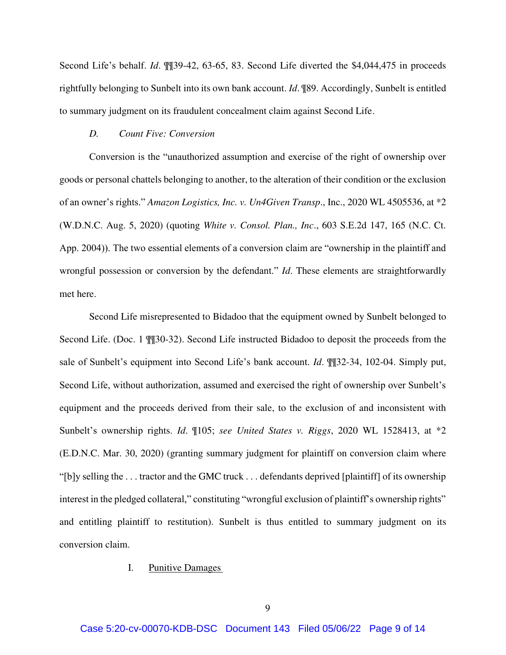Second Life's behalf. *Id*. ¶¶39-42, 63-65, 83. Second Life diverted the \$4,044,475 in proceeds rightfully belonging to Sunbelt into its own bank account. *Id*. ¶89. Accordingly, Sunbelt is entitled to summary judgment on its fraudulent concealment claim against Second Life.

#### *D. Count Five: Conversion*

Conversion is the "unauthorized assumption and exercise of the right of ownership over goods or personal chattels belonging to another, to the alteration of their condition or the exclusion of an owner's rights." *Amazon Logistics, Inc. v. Un4Given Transp*., Inc., 2020 WL 4505536, at \*2 (W.D.N.C. Aug. 5, 2020) (quoting *White v. Consol. Plan., Inc*., 603 S.E.2d 147, 165 (N.C. Ct. App. 2004)). The two essential elements of a conversion claim are "ownership in the plaintiff and wrongful possession or conversion by the defendant." *Id*. These elements are straightforwardly met here.

Second Life misrepresented to Bidadoo that the equipment owned by Sunbelt belonged to Second Life. (Doc. 1 ¶¶30-32). Second Life instructed Bidadoo to deposit the proceeds from the sale of Sunbelt's equipment into Second Life's bank account. *Id*. ¶¶32-34, 102-04. Simply put, Second Life, without authorization, assumed and exercised the right of ownership over Sunbelt's equipment and the proceeds derived from their sale, to the exclusion of and inconsistent with Sunbelt's ownership rights. *Id*. ¶105; *see United States v. Riggs*, 2020 WL 1528413, at \*2 (E.D.N.C. Mar. 30, 2020) (granting summary judgment for plaintiff on conversion claim where "[b]y selling the . . . tractor and the GMC truck . . . defendants deprived [plaintiff] of its ownership interest in the pledged collateral," constituting "wrongful exclusion of plaintiff's ownership rights" and entitling plaintiff to restitution). Sunbelt is thus entitled to summary judgment on its conversion claim.

### I. Punitive Damages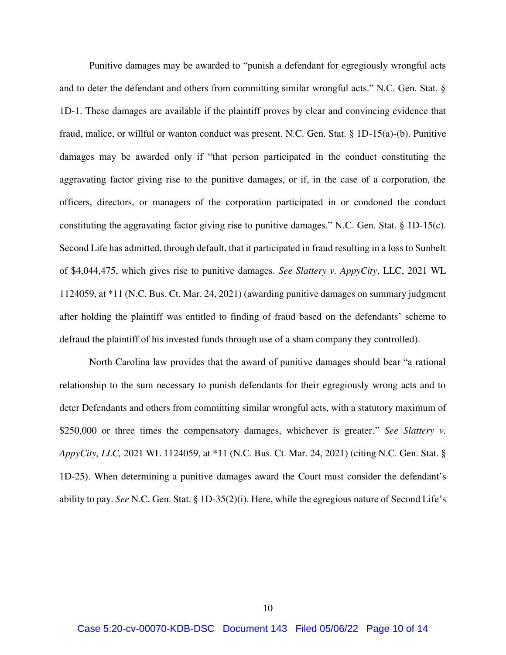Punitive damages may be awarded to "punish a defendant for egregiously wrongful acts and to deter the defendant and others from committing similar wrongful acts." N.C. Gen. Stat. § 1D-1. These damages are available if the plaintiff proves by clear and convincing evidence that fraud, malice, or willful or wanton conduct was present. N.C. Gen. Stat. § 1D-15(a)-(b). Punitive damages may be awarded only if "that person participated in the conduct constituting the aggravating factor giving rise to the punitive damages, or if, in the case of a corporation, the officers, directors, or managers of the corporation participated in or condoned the conduct constituting the aggravating factor giving rise to punitive damages." N.C. Gen. Stat. § 1D-15(c). Second Life has admitted, through default, that it participated in fraud resulting in a loss to Sunbelt of \$4,044,475, which gives rise to punitive damages. *See Slattery v. AppyCity*, LLC, 2021 WL 1124059, at \*11 (N.C. Bus. Ct. Mar. 24, 2021) (awarding punitive damages on summary judgment after holding the plaintiff was entitled to finding of fraud based on the defendants' scheme to defraud the plaintiff of his invested funds through use of a sham company they controlled).

North Carolina law provides that the award of punitive damages should bear "a rational relationship to the sum necessary to punish defendants for their egregiously wrong acts and to deter Defendants and others from committing similar wrongful acts, with a statutory maximum of \$250,000 or three times the compensatory damages, whichever is greater." *See Slattery v. AppyCity, LLC,* 2021 WL 1124059, at \*11 (N.C. Bus. Ct. Mar. 24, 2021) (citing N.C. Gen. Stat. § 1D-25). When determining a punitive damages award the Court must consider the defendant's ability to pay. *See* N.C. Gen. Stat. § 1D-35(2)(i). Here, while the egregious nature of Second Life's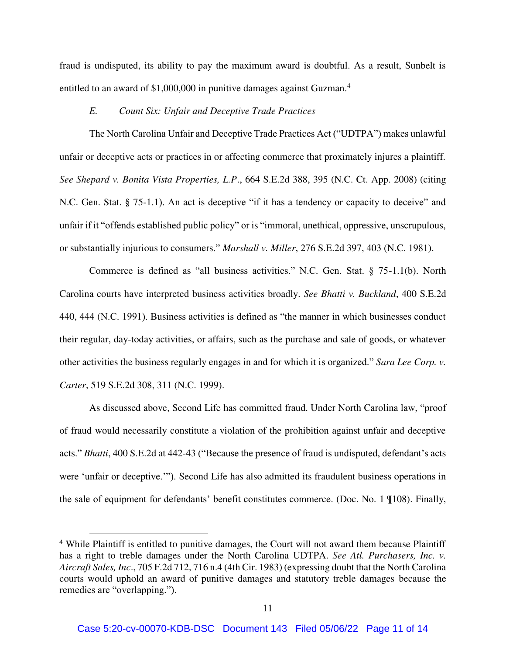fraud is undisputed, its ability to pay the maximum award is doubtful. As a result, Sunbelt is entitled to an award of \$1,000,000 in punitive damages against Guzman.<sup>4</sup>

# *E. Count Six: Unfair and Deceptive Trade Practices*

The North Carolina Unfair and Deceptive Trade Practices Act ("UDTPA") makes unlawful unfair or deceptive acts or practices in or affecting commerce that proximately injures a plaintiff. *See Shepard v. Bonita Vista Properties, L.P*., 664 S.E.2d 388, 395 (N.C. Ct. App. 2008) (citing N.C. Gen. Stat. § 75-1.1). An act is deceptive "if it has a tendency or capacity to deceive" and unfair if it "offends established public policy" or is "immoral, unethical, oppressive, unscrupulous, or substantially injurious to consumers." *Marshall v. Miller*, 276 S.E.2d 397, 403 (N.C. 1981).

Commerce is defined as "all business activities." N.C. Gen. Stat. § 75-1.1(b). North Carolina courts have interpreted business activities broadly. *See Bhatti v. Buckland*, 400 S.E.2d 440, 444 (N.C. 1991). Business activities is defined as "the manner in which businesses conduct their regular, day-today activities, or affairs, such as the purchase and sale of goods, or whatever other activities the business regularly engages in and for which it is organized." *Sara Lee Corp. v. Carter*, 519 S.E.2d 308, 311 (N.C. 1999).

As discussed above, Second Life has committed fraud. Under North Carolina law, "proof of fraud would necessarily constitute a violation of the prohibition against unfair and deceptive acts." *Bhatti*, 400 S.E.2d at 442-43 ("Because the presence of fraud is undisputed, defendant's acts were 'unfair or deceptive.'"). Second Life has also admitted its fraudulent business operations in the sale of equipment for defendants' benefit constitutes commerce. (Doc. No. 1 ¶108). Finally,

 $\overline{a}$ 

<sup>&</sup>lt;sup>4</sup> While Plaintiff is entitled to punitive damages, the Court will not award them because Plaintiff has a right to treble damages under the North Carolina UDTPA. *See Atl. Purchasers, Inc. v. Aircraft Sales, Inc*., 705 F.2d 712, 716 n.4 (4th Cir. 1983) (expressing doubt that the North Carolina courts would uphold an award of punitive damages and statutory treble damages because the remedies are "overlapping.").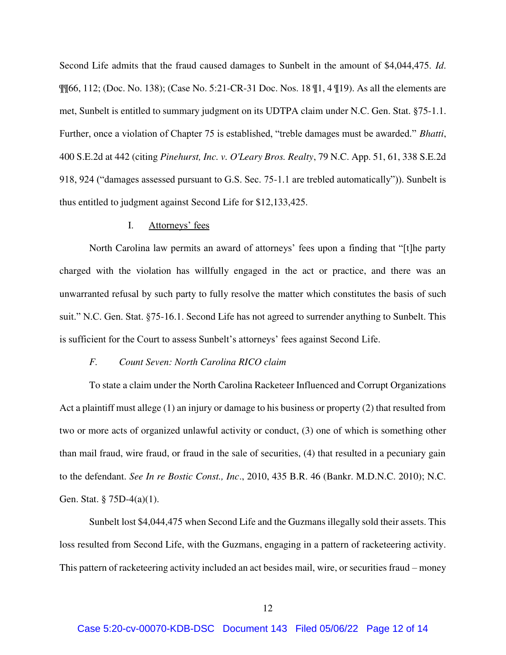Second Life admits that the fraud caused damages to Sunbelt in the amount of \$4,044,475. *Id*.  $\P$ [66, 112; (Doc. No. 138); (Case No. 5:21-CR-31 Doc. Nos. 18  $\P$ 1, 4  $\P$ 19). As all the elements are met, Sunbelt is entitled to summary judgment on its UDTPA claim under N.C. Gen. Stat. §75-1.1. Further, once a violation of Chapter 75 is established, "treble damages must be awarded." *Bhatti*, 400 S.E.2d at 442 (citing *Pinehurst, Inc. v. O'Leary Bros. Realty*, 79 N.C. App. 51, 61, 338 S.E.2d 918, 924 ("damages assessed pursuant to G.S. Sec. 75-1.1 are trebled automatically")). Sunbelt is thus entitled to judgment against Second Life for \$12,133,425.

#### I. Attorneys' fees

North Carolina law permits an award of attorneys' fees upon a finding that "[t]he party charged with the violation has willfully engaged in the act or practice, and there was an unwarranted refusal by such party to fully resolve the matter which constitutes the basis of such suit." N.C. Gen. Stat. §75-16.1. Second Life has not agreed to surrender anything to Sunbelt. This is sufficient for the Court to assess Sunbelt's attorneys' fees against Second Life.

### *F. Count Seven: North Carolina RICO claim*

To state a claim under the North Carolina Racketeer Influenced and Corrupt Organizations Act a plaintiff must allege (1) an injury or damage to his business or property (2) that resulted from two or more acts of organized unlawful activity or conduct, (3) one of which is something other than mail fraud, wire fraud, or fraud in the sale of securities, (4) that resulted in a pecuniary gain to the defendant. *See In re Bostic Const., Inc*., 2010, 435 B.R. 46 (Bankr. M.D.N.C. 2010); N.C. Gen. Stat. § 75D-4(a)(1).

Sunbelt lost \$4,044,475 when Second Life and the Guzmans illegally sold their assets. This loss resulted from Second Life, with the Guzmans, engaging in a pattern of racketeering activity. This pattern of racketeering activity included an act besides mail, wire, or securities fraud – money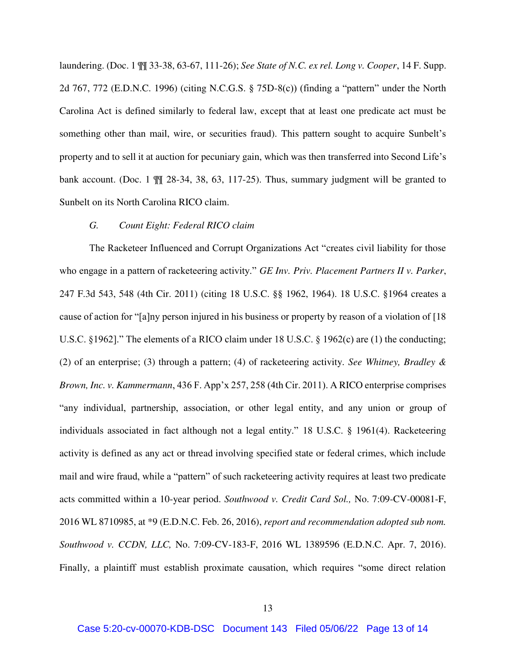laundering. (Doc. 1 ¶¶ 33-38, 63-67, 111-26); *See State of N.C. ex rel. Long v. Cooper*, 14 F. Supp. 2d 767, 772 (E.D.N.C. 1996) (citing N.C.G.S. § 75D-8(c)) (finding a "pattern" under the North Carolina Act is defined similarly to federal law, except that at least one predicate act must be something other than mail, wire, or securities fraud). This pattern sought to acquire Sunbelt's property and to sell it at auction for pecuniary gain, which was then transferred into Second Life's bank account. (Doc. 1  $\mathbb{I}$  28-34, 38, 63, 117-25). Thus, summary judgment will be granted to Sunbelt on its North Carolina RICO claim.

# *G. Count Eight: Federal RICO claim*

The Racketeer Influenced and Corrupt Organizations Act "creates civil liability for those who engage in a pattern of racketeering activity." *GE Inv. Priv. Placement Partners II v. Parker*, 247 F.3d 543, 548 (4th Cir. 2011) (citing 18 U.S.C. §§ 1962, 1964). 18 U.S.C. §1964 creates a cause of action for "[a]ny person injured in his business or property by reason of a violation of [18 U.S.C. §1962]." The elements of a RICO claim under 18 U.S.C. § 1962(c) are (1) the conducting; (2) of an enterprise; (3) through a pattern; (4) of racketeering activity. *See Whitney, Bradley & Brown, Inc. v. Kammermann*, 436 F. App'x 257, 258 (4th Cir. 2011). A RICO enterprise comprises "any individual, partnership, association, or other legal entity, and any union or group of individuals associated in fact although not a legal entity." 18 U.S.C. § 1961(4). Racketeering activity is defined as any act or thread involving specified state or federal crimes, which include mail and wire fraud, while a "pattern" of such racketeering activity requires at least two predicate acts committed within a 10-year period. *Southwood v. Credit Card Sol.,* No. 7:09-CV-00081-F, 2016 WL 8710985, at \*9 (E.D.N.C. Feb. 26, 2016), *report and recommendation adopted sub nom. Southwood v. CCDN, LLC,* No. 7:09-CV-183-F, 2016 WL 1389596 (E.D.N.C. Apr. 7, 2016). Finally, a plaintiff must establish proximate causation, which requires "some direct relation